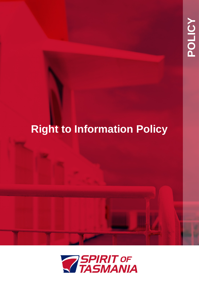# **Right to Information Policy**

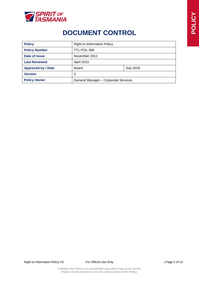

# **DOCUMENT CONTROL**

| <b>Policy</b>             | <b>Right to Information Policy</b>   |                  |  |
|---------------------------|--------------------------------------|------------------|--|
| <b>Policy Number</b>      | TTL-POL-306                          |                  |  |
| Date of Issue             | November 2011                        |                  |  |
| <b>Last Reviewed</b>      | April 2015                           |                  |  |
| <b>Approved by / Date</b> | Board                                | <b>July 2016</b> |  |
| <b>Version</b>            | 3                                    |                  |  |
| <b>Policy Owner</b>       | General Manager - Corporate Services |                  |  |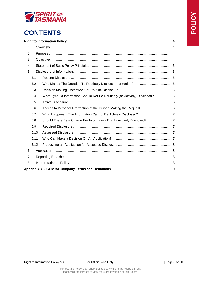

# **CONTENTS**

| 1. |      |                                                                                 |  |
|----|------|---------------------------------------------------------------------------------|--|
| 2. |      |                                                                                 |  |
| 3. |      |                                                                                 |  |
| 4. |      |                                                                                 |  |
| 5. |      |                                                                                 |  |
|    | 5.1  |                                                                                 |  |
|    | 5.2  |                                                                                 |  |
|    | 5.3  |                                                                                 |  |
|    | 5.4  | What Type Of Information Should Not Be Routinely (or Actively) Disclosed? 6     |  |
|    | 5.5  |                                                                                 |  |
|    | 5.6  |                                                                                 |  |
|    | 5.7  |                                                                                 |  |
|    | 5.8  | Should There Be a Charge For Information That Is Actively Disclosed?7           |  |
|    | 5.9  |                                                                                 |  |
|    | 5.10 |                                                                                 |  |
|    | 5.11 |                                                                                 |  |
|    | 5.12 |                                                                                 |  |
| 6. |      |                                                                                 |  |
| 7. |      |                                                                                 |  |
| 8. |      |                                                                                 |  |
|    |      | Appendix A – General Company Terms and Definitions ………………………………………………………………………9 |  |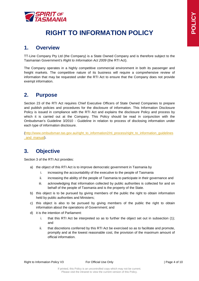

# **RIGHT TO INFORMATION POLICY**

### <span id="page-3-1"></span><span id="page-3-0"></span>**1. Overview**

TT-Line Company Pty Ltd (the Company) is a State Owned Company and is therefore subject to the Tasmanian Government's *Right to Information Act 2009* (the RTI Act).

The Company operates in a highly competitive commercial environment in both its passenger and freight markets. The competitive nature of its business will require a comprehensive review of information that may be requested under the RTI Act to ensure that the Company does not provide exempt information.

# <span id="page-3-2"></span>**2. Purpose**

Section 23 of the RTI Act requires Chief Executive Officers of State Owned Companies to prepare and publish policies and procedures for the disclosure of information. This Information Disclosure Policy is issued in compliance with the RTI Act and explains the disclosure Policy and process by which it is carried out at the Company. This Policy should be read in conjunction with the Ombudsman's Guideline 3/2010 - Guideline in relation to process of disclosing information under each type of information disclosure.

[\(http://www.ombudsman.tas.gov.au/right\\_to\\_information2/rti\\_process/right\\_to\\_information\\_guidelines](http://www.ombudsman.tas.gov.au/right_to_information2/rti_process/right_to_information_guidelines_and_manual) and manual).

# <span id="page-3-3"></span>**3. Objective**

Section 3 of the RTI Act provides:

- a) the object of this RTI Act is to improve democratic government in Tasmania by
	- i. increasing the accountability of the executive to the people of Tasmania
	- ii. increasing the ability of the people of Tasmania to participate in their governance and
	- iii. acknowledging that information collected by public authorities is collected for and on behalf of the people of Tasmania and is the property of the State.
- b) this object is to be pursued by giving members of the public the right to obtain information held by public authorities and Ministers;
- c) this object is also to be pursued by giving members of the public the right to obtain information about the operations of Government; and
- d) it is the intention of Parliament:
	- i. that this RTI Act be interpreted so as to further the object set out in subsection (1); and
	- ii. that discretions conferred by this RTI Act be exercised so as to facilitate and promote, promptly and at the lowest reasonable cost, the provision of the maximum amount of official information.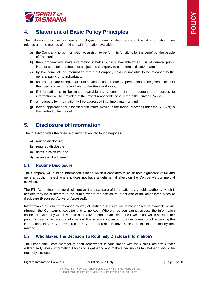

# <span id="page-4-0"></span>**4. Statement of Basic Policy Principles**

The following principles will guide Employees in making decisions about what information they release and the method of making that information available:

- a) the Company holds information to assist it to perform its functions for the benefit of the people of Tasmania;
- b) the Company will make information it holds publicly available when it is of general public interest to do so and does not subject the Company to commercial disadvantage;
- c) by law some of the information that the Company holds is not able to be released to the general public or to individuals;
- d) unless there are exceptional circumstances, upon request a person should be given access to their personal information (refer to the Privacy Policy);
- e) if information is to be made available via a commercial arrangement then access to information will be provided at the lowest reasonable cost (refer to the Privacy Policy);
- f) all requests for information will be addressed in a timely manner; and
- g) formal application for assessed disclosure (which is the formal process under the RTI Act) is the method of last resort.

## <span id="page-4-1"></span>**5. Disclosure of Information**

The RTI Act divides the release of information into four categories:

- a) routine disclosure;
- b) required disclosure;
- c) active disclosure; and
- d) assessed disclosure.

#### <span id="page-4-2"></span>**5.1 Routine Disclosure**

The Company will publish information it holds which it considers to be of both significant value and general public interest where it does not have a detrimental effect on the Company's commercial activities.

The RTI Act defines routine disclosure as the disclosure of information by a public authority which it decides may be of interest to the public, where the disclosure is not one of the other three types of disclosure (Required, Active or Assessed).

Information that is being released by way of routine disclosure will in most cases be available online (through the Company's website) and at no cost. Where a person cannot access the information online, the Company will provide an alternative means of access at the lowest cost which satisfies the person's need to access the information. If a person chooses a more costly method of accessing the information, they may be required to pay the difference to have access to the information by that method.

#### <span id="page-4-3"></span>**5.2 Who Makes The Decision To Routinely Disclose Information?**

The Leadership Team member of each department in consultation with the Chief Executive Officer will regularly review information it holds or is gathering and make a decision as to whether it should be routinely disclosed.

Right to Information Policy V3 For Official Use Only Formulation 1 Page 5 of 10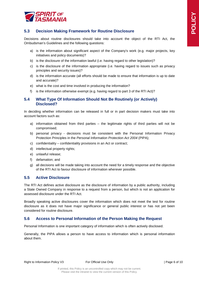

#### <span id="page-5-0"></span>**5.3 Decision Making Framework for Routine Disclosure**

Decisions about routine disclosures should take into account the object of the RTI Act, the Ombudsman's Guidelines and the following questions:

- a) is the information about significant aspect of the Company's work (e.g. major projects, key initiatives and policy documents)?
- b) is the disclosure of the information lawful (i.e. having regard to other legislation)?
- c) is the disclosure of the information appropriate (i.e. having regard to issues such as privacy principles and security issues)?
- d) is the information accurate (all efforts should be made to ensure that information is up to date and accurate)?
- e) what is the cost and time involved in producing the information?
- f) is the information otherwise exempt (e.g. having regard to part 3 of the RTI Act)?

#### <span id="page-5-1"></span>**5.4 What Type Of Information Should Not Be Routinely (or Actively) Disclosed?**

In deciding whether information can be released in full or in part decision makers must take into account factors such as:

- a) information obtained from third parties the legitimate rights of third parties will not be compromised;
- b) personal privacy decisions must be consistent with the Personal Information Privacy Protection Principles in the *Personal Information Protection Act 2004* (PIPA);
- c) confidentiality confidentiality provisions in an Act or contract;
- d) intellectual property rights;
- e) unlawful release;
- f) defamation; and
- g) all decisions will be made taking into account the need for a timely response and the objective of the RTI Act to favour disclosure of information wherever possible.

#### <span id="page-5-2"></span>**5.5 Active Disclosure**

The RTI Act defines active disclosure as the disclosure of information by a public authority, including a State Owned Company in response to a request from a person, but which is not an application for assessed disclosure under the RTI Act.

Broadly speaking active disclosures cover the information which does not meet the test for routine disclosure as it does not have major significance or general public interest or has not yet been considered for routine disclosure.

#### <span id="page-5-3"></span>**5.6 Access to Personal Information of the Person Making the Request**

Personal Information is one important category of information which is often actively disclosed.

Generally, the PIPA allows a person to have access to information which is personal information about them.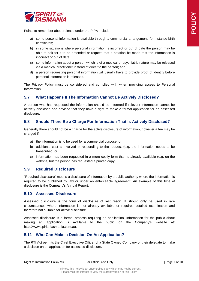

Points to remember about release under the PIPA include:

- a) some personal information is available through a commercial arrangement, for instance birth certificates;
- b) in some situations where personal information is incorrect or out of date the person may be able to ask for it to be amended or request that a notation be made that the information is incorrect or out of date;
- c) some information about a person which is of a medical or psychiatric nature may be released via a medical practitioner instead of direct to the person; and
- d) a person requesting personal information will usually have to provide proof of identity before personal information is released.

The Privacy Policy must be considered and complied with when providing access to Personal Information.

#### <span id="page-6-0"></span>**5.7 What Happens If The Information Cannot Be Actively Disclosed?**

A person who has requested the information should be informed if relevant information cannot be actively disclosed and advised that they have a right to make a formal application for an assessed disclosure.

#### <span id="page-6-1"></span>**5.8 Should There Be a Charge For Information That Is Actively Disclosed?**

Generally there should not be a charge for the active disclosure of information, however a fee may be charged if:

- a) the information is to be used for a commercial purpose; or
- b) additional cost is involved in responding to the request (e.g. the information needs to be transcribed; or
- c) information has been requested in a more costly form than is already available (e.g. on the website, but the person has requested a printed copy).

#### <span id="page-6-2"></span>**5.9 Required Disclosure**

"Required disclosure" means a disclosure of information by a public authority where the information is required to be published by law or under an enforceable agreement. An example of this type of disclosure is the Company's Annual Report.

#### <span id="page-6-3"></span>**5.10 Assessed Disclosure**

Assessed disclosure is the form of disclosure of last resort. It should only be used in rare circumstances where information is not already available or requires detailed examination and therefore not suitable for active disclosure.

Assessed disclosure is a formal process requiring an application. Information for the public about making an application is available to the public on the Company's website at: [http://www.spiritoftasmania.com.au.](http://www.spiritoftasmania.com.au/)

#### <span id="page-6-4"></span>**5.11 Who Can Make a Decision On An Application?**

The RTI Act permits the Chief Executive Officer of a State Owned Company or their delegate to make a decision on an application for assessed disclosure.

Right to Information Policy V3 For Official Use Only Formulation 1 Page 7 of 10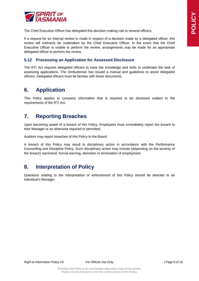

The Chief Executive Officer has delegated this decision making role to several officers.

If a request for an internal review is made in respect of a decision made by a delegated officer, this review will ordinarily be undertaken by the Chief Executive Officer. In the event that the Chief Executive Officer is unable to perform the review, arrangements may be made for an appropriate delegated officer to perform the review.

#### <span id="page-7-0"></span>**5.12 Processing an Application for Assessed Disclosure**

The RTI Act requires delegated officers to have the knowledge and skills to undertake the task of assessing applications. The Ombudsman has issued a manual and guidelines to assist delegated officers. Delegated officers must be familiar with these documents.

### <span id="page-7-1"></span>**6. Application**

This Policy applies to company information that is required to be disclosed subject to the requirements of the RTI Act.

## <span id="page-7-2"></span>**7. Reporting Breaches**

Upon becoming aware of a breach of this Policy, Employees must immediately report the breach to their Manager or as otherwise required or permitted.

Auditors may report breaches of this Policy to the Board.

A breach of this Policy may result in disciplinary action in accordance with the Performance Counselling and Discipline Policy. Such disciplinary action may include (depending on the severity of the breach) reprimand, formal warning, demotion or termination of employment.

## <span id="page-7-3"></span>**8. Interpretation of Policy**

Questions relating to the interpretation or enforcement of this Policy should be directed to an individual's Manager.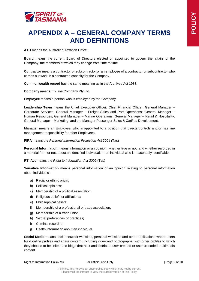

# <span id="page-8-0"></span>**APPENDIX A – GENERAL COMPANY TERMS AND DEFINITIONS**

**ATO** means the Australian Taxation Office.

**Board** means the current Board of Directors elected or appointed to govern the affairs of the Company, the members of which may change from time to time.

**Contractor** means a contractor or subcontractor or an employee of a contractor or subcontractor who carries out work in a contracted capacity for the Company.

**Commonwealth record** has the same meaning as in the Archives Act 1983.

**Company** means TT-Line Company Pty Ltd.

**Employee** means a person who is employed by the Company.

Leadership Team means the Chief Executive Officer, Chief Financial Officer, General Manager -Corporate Services, General Manager – Freight Sales and Port Operations; General Manager – Human Resources, General Manager – Marine Operations, General Manager – Retail & Hospitality, General Manager – Marketing, and the Manager Passenger Sales & CarRes Development.

**Manager** means an Employee, who is appointed to a position that directs controls and/or has line management responsibility for other Employees.

#### **PIPA** means the *Personal Information Protection Act 2004* (Tas)

**Personal Information** means information or an opinion, whether true or not, and whether recorded in a material form or not, about an identified individual, or an individual who is reasonably identifiable.

#### **RTI Act** means the *Right to Information Act 2009* (Tas)

**Sensitive Information** means personal information or an opinion relating to personal information about individuals':

- a) Racial or ethnic origin;
- b) Political opinions;
- c) Membership of a political association;
- d) Religious beliefs or affiliations;
- e) Philosophical beliefs;
- f) Membership of a professional or trade association;
- g) Membership of a trade union;
- h) Sexual preferences or practices;
- i) Criminal record; or
- j) Health information about an individual.

**Social Media** means social network websites, personal websites and other applications where users build online profiles and share content (including video and photographs) with other profiles to which they choose to be linked and blogs that host and distribute user-created or user-uploaded multimedia content.

Right to Information Policy V3 For Official Use Only Formulation 1 Page 9 of 10